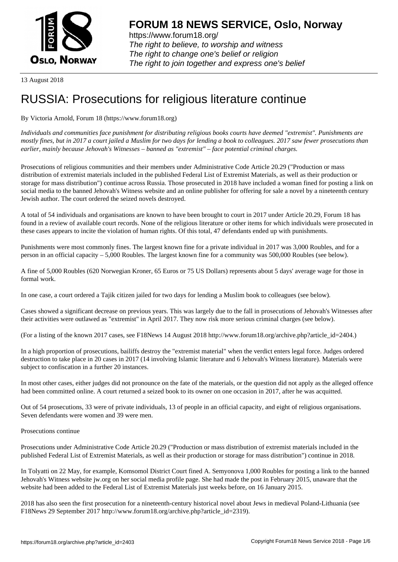

https://www.forum18.org/ The right to believe, to worship and witness The right to change one's belief or religion [The right to join together a](https://www.forum18.org/)nd express one's belief

13 August 2018

# [RUSSIA: Prose](https://www.forum18.org)cutions for religious literature continue

By Victoria Arnold, Forum 18 (https://www.forum18.org)

*Individuals and communities face punishment for distributing religious books courts have deemed "extremist". Punishments are mostly fines, but in 2017 a court jailed a Muslim for two days for lending a book to colleagues. 2017 saw fewer prosecutions than earlier, mainly because Jehovah's Witnesses – banned as "extremist" – face potential criminal charges.*

Prosecutions of religious communities and their members under Administrative Code Article 20.29 ("Production or mass distribution of extremist materials included in the published Federal List of Extremist Materials, as well as their production or storage for mass distribution") continue across Russia. Those prosecuted in 2018 have included a woman fined for posting a link on social media to the banned Jehovah's Witness website and an online publisher for offering for sale a novel by a nineteenth century Jewish author. The court ordered the seized novels destroyed.

A total of 54 individuals and organisations are known to have been brought to court in 2017 under Article 20.29, Forum 18 has found in a review of available court records. None of the religious literature or other items for which individuals were prosecuted in these cases appears to incite the violation of human rights. Of this total, 47 defendants ended up with punishments.

Punishments were most commonly fines. The largest known fine for a private individual in 2017 was 3,000 Roubles, and for a person in an official capacity – 5,000 Roubles. The largest known fine for a community was 500,000 Roubles (see below).

A fine of 5,000 Roubles (620 Norwegian Kroner, 65 Euros or 75 US Dollars) represents about 5 days' average wage for those in formal work.

In one case, a court ordered a Tajik citizen jailed for two days for lending a Muslim book to colleagues (see below).

Cases showed a significant decrease on previous years. This was largely due to the fall in prosecutions of Jehovah's Witnesses after their activities were outlawed as "extremist" in April 2017. They now risk more serious criminal charges (see below).

(For a listing of the known 2017 cases, see F18News 14 August 2018 http://www.forum18.org/archive.php?article\_id=2404.)

In a high proportion of prosecutions, bailiffs destroy the "extremist material" when the verdict enters legal force. Judges ordered destruction to take place in 20 cases in 2017 (14 involving Islamic literature and 6 Jehovah's Witness literature). Materials were subject to confiscation in a further 20 instances.

In most other cases, either judges did not pronounce on the fate of the materials, or the question did not apply as the alleged offence had been committed online. A court returned a seized book to its owner on one occasion in 2017, after he was acquitted.

Out of 54 prosecutions, 33 were of private individuals, 13 of people in an official capacity, and eight of religious organisations. Seven defendants were women and 39 were men.

Prosecutions continue

Prosecutions under Administrative Code Article 20.29 ("Production or mass distribution of extremist materials included in the published Federal List of Extremist Materials, as well as their production or storage for mass distribution") continue in 2018.

In Tolyatti on 22 May, for example, Komsomol District Court fined A. Semyonova 1,000 Roubles for posting a link to the banned Jehovah's Witness website jw.org on her social media profile page. She had made the post in February 2015, unaware that the website had been added to the Federal List of Extremist Materials just weeks before, on 16 January 2015.

2018 has also seen the first prosecution for a nineteenth-century historical novel about Jews in medieval Poland-Lithuania (see F18News 29 September 2017 http://www.forum18.org/archive.php?article\_id=2319).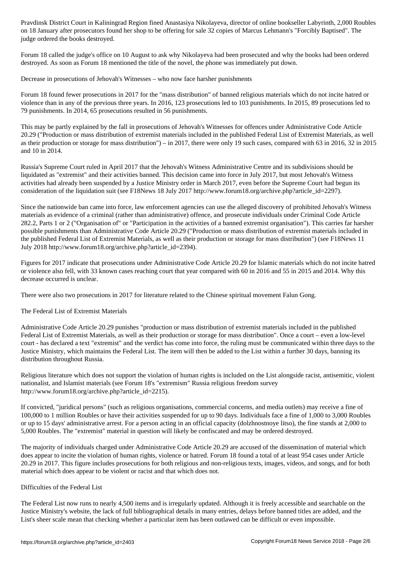on 18 January after prosecutors found her shop to be offering for sale 32 copies of Marcus Lehmann's "Forcibly Baptised". The judge ordered the books destroyed.

Forum 18 called the judge's office on 10 August to ask why Nikolayeva had been prosecuted and why the books had been ordered destroyed. As soon as Forum 18 mentioned the title of the novel, the phone was immediately put down.

Decrease in prosecutions of Jehovah's Witnesses – who now face harsher punishments

Forum 18 found fewer prosecutions in 2017 for the "mass distribution" of banned religious materials which do not incite hatred or violence than in any of the previous three years. In 2016, 123 prosecutions led to 103 punishments. In 2015, 89 prosecutions led to 79 punishments. In 2014, 65 prosecutions resulted in 56 punishments.

This may be partly explained by the fall in prosecutions of Jehovah's Witnesses for offences under Administrative Code Article 20.29 ("Production or mass distribution of extremist materials included in the published Federal List of Extremist Materials, as well as their production or storage for mass distribution") – in 2017, there were only 19 such cases, compared with 63 in 2016, 32 in 2015 and 10 in 2014.

Russia's Supreme Court ruled in April 2017 that the Jehovah's Witness Administrative Centre and its subdivisions should be liquidated as "extremist" and their activities banned. This decision came into force in July 2017, but most Jehovah's Witness activities had already been suspended by a Justice Ministry order in March 2017, even before the Supreme Court had begun its consideration of the liquidation suit (see F18News 18 July 2017 http://www.forum18.org/archive.php?article\_id=2297).

Since the nationwide ban came into force, law enforcement agencies can use the alleged discovery of prohibited Jehovah's Witness materials as evidence of a criminal (rather than administrative) offence, and prosecute individuals under Criminal Code Article 282.2, Parts 1 or 2 ("Organisation of" or "Participation in the activities of a banned extremist organisation"). This carries far harsher possible punishments than Administrative Code Article 20.29 ("Production or mass distribution of extremist materials included in the published Federal List of Extremist Materials, as well as their production or storage for mass distribution") (see F18News 11 July 2018 http://www.forum18.org/archive.php?article\_id=2394).

Figures for 2017 indicate that prosecutions under Administrative Code Article 20.29 for Islamic materials which do not incite hatred or violence also fell, with 33 known cases reaching court that year compared with 60 in 2016 and 55 in 2015 and 2014. Why this decrease occurred is unclear.

There were also two prosecutions in 2017 for literature related to the Chinese spiritual movement Falun Gong.

# The Federal List of Extremist Materials

Administrative Code Article 20.29 punishes "production or mass distribution of extremist materials included in the published Federal List of Extremist Materials, as well as their production or storage for mass distribution". Once a court – even a low-level court - has declared a text "extremist" and the verdict has come into force, the ruling must be communicated within three days to the Justice Ministry, which maintains the Federal List. The item will then be added to the List within a further 30 days, banning its distribution throughout Russia.

Religious literature which does not support the violation of human rights is included on the List alongside racist, antisemitic, violent nationalist, and Islamist materials (see Forum 18's "extremism" Russia religious freedom survey http://www.forum18.org/archive.php?article\_id=2215).

If convicted, "juridical persons" (such as religious organisations, commercial concerns, and media outlets) may receive a fine of 100,000 to 1 million Roubles or have their activities suspended for up to 90 days. Individuals face a fine of 1,000 to 3,000 Roubles or up to 15 days' administrative arrest. For a person acting in an official capacity (dolzhnostnoye litso), the fine stands at 2,000 to 5,000 Roubles. The "extremist" material in question will likely be confiscated and may be ordered destroyed.

The majority of individuals charged under Administrative Code Article 20.29 are accused of the dissemination of material which does appear to incite the violation of human rights, violence or hatred. Forum 18 found a total of at least 954 cases under Article 20.29 in 2017. This figure includes prosecutions for both religious and non-religious texts, images, videos, and songs, and for both material which does appear to be violent or racist and that which does not.

# Difficulties of the Federal List

The Federal List now runs to nearly 4,500 items and is irregularly updated. Although it is freely accessible and searchable on the Justice Ministry's website, the lack of full bibliographical details in many entries, delays before banned titles are added, and the List's sheer scale mean that checking whether a particular item has been outlawed can be difficult or even impossible.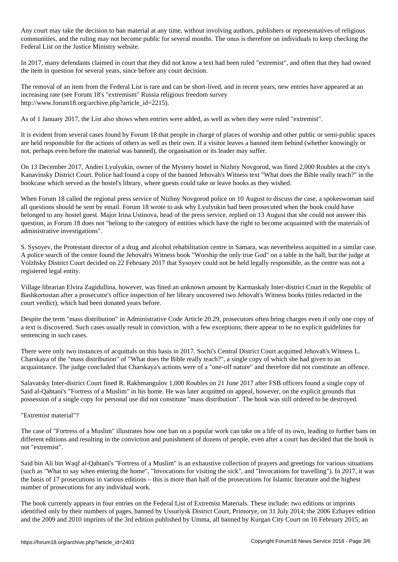Any court may take the decision to ban material at any time, without involving authors, publishers or representatives of religious communities, and the ruling may not become public for several months. The onus is therefore on individuals to keep checking the Federal List on the Justice Ministry website.

In 2017, many defendants claimed in court that they did not know a text had been ruled "extremist", and often that they had owned the item in question for several years, since before any court decision.

The removal of an item from the Federal List is rare and can be short-lived, and in recent years, new entries have appeared at an increasing rate (see Forum 18's "extremism" Russia religious freedom survey http://www.forum18.org/archive.php?article\_id=2215).

As of 1 January 2017, the List also shows when entries were added, as well as when they were ruled "extremist".

It is evident from several cases found by Forum 18 that people in charge of places of worship and other public or semi-public spaces are held responsible for the actions of others as well as their own. If a visitor leaves a banned item behind (whether knowingly or not, perhaps even before the material was banned), the organisation or its leader may suffer.

On 13 December 2017, Andrei Lyulyukin, owner of the Mystery hostel in Nizhny Novgorod, was fined 2,000 Roubles at the city's Kanavinsky District Court. Police had found a copy of the banned Jehovah's Witness text "What does the Bible really teach?" in the bookcase which served as the hostel's library, where guests could take or leave books as they wished.

When Forum 18 called the regional press service of Nizhny Novgorod police on 10 August to discuss the case, a spokeswoman said all questions should be sent by email. Forum 18 wrote to ask why Lyulyukin had been prosecuted when the book could have belonged to any hostel guest. Major Irina Ustinova, head of the press service, replied on 13 August that she could not answer this question, as Forum 18 does not "belong to the category of entities which have the right to become acquainted with the materials of administrative investigations".

S. Sysoyev, the Protestant director of a drug and alcohol rehabilitation centre in Samara, was nevertheless acquitted in a similar case. A police search of the centre found the Jehovah's Witness book "Worship the only true God" on a table in the hall, but the judge at Volzhsky District Court decided on 22 February 2017 that Sysoyev could not be held legally responsible, as the centre was not a registered legal entity.

Village librarian Elvira Zagidullina, however, was fined an unknown amount by Karmaskaly Inter-district Court in the Republic of Bashkortostan after a prosecutor's office inspection of her library uncovered two Jehovah's Witness books (titles redacted in the court verdict), which had been donated years before.

Despite the term "mass distribution" in Administrative Code Article 20.29, prosecutors often bring charges even if only one copy of a text is discovered. Such cases usually result in conviction, with a few exceptions; there appear to be no explicit guidelines for sentencing in such cases.

There were only two instances of acquittals on this basis in 2017. Sochi's Central District Court acquitted Jehovah's Witness L. Charskaya of the "mass distribution" of "What does the Bible really teach?", a single copy of which she had given to an acquaintance. The judge concluded that Charskaya's actions were of a "one-off nature" and therefore did not constitute an offence.

Salavatsky Inter-district Court fined R. Rakhmangulov 1,000 Roubles on 21 June 2017 after FSB officers found a single copy of Said al-Qahtani's "Fortress of a Muslim" in his home. He was later acquitted on appeal, however, on the explicit grounds that possession of a single copy for personal use did not constitute "mass distribution". The book was still ordered to be destroyed.

# "Extremist material"?

The case of "Fortress of a Muslim" illustrates how one ban on a popular work can take on a life of its own, leading to further bans on different editions and resulting in the conviction and punishment of dozens of people, even after a court has decided that the book is not "extremist".

Said bin Ali bin Waqf al-Qahtani's "Fortress of a Muslim" is an exhaustive collection of prayers and greetings for various situations (such as "What to say when entering the home", "Invocations for visiting the sick", and "Invocations for travelling"). In 2017, it was the basis of 17 prosecutions in various editions – this is more than half of the prosecutions for Islamic literature and the highest number of prosecutions for any individual work.

The book currently appears in four entries on the Federal List of Extremist Materials. These include: two editions or imprints identified only by their numbers of pages, banned by Ussuriysk District Court, Primorye, on 31 July 2014; the 2006 Ezhayev edition and the 2009 and 2010 imprints of the 3rd edition published by Umma, all banned by Kurgan City Court on 16 February 2015; an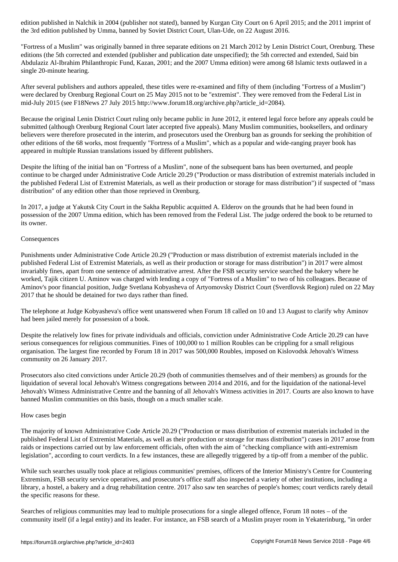the 3rd edition published by Umma, banned by Soviet District Court, Ulan-Ude, on 22 August 2016.

"Fortress of a Muslim" was originally banned in three separate editions on 21 March 2012 by Lenin District Court, Orenburg. These editions (the 5th corrected and extended (publisher and publication date unspecified); the 5th corrected and extended, Said bin Abdulaziz Al-Ibrahim Philanthropic Fund, Kazan, 2001; and the 2007 Umma edition) were among 68 Islamic texts outlawed in a single 20-minute hearing.

After several publishers and authors appealed, these titles were re-examined and fifty of them (including "Fortress of a Muslim") were declared by Orenburg Regional Court on 25 May 2015 not to be "extremist". They were removed from the Federal List in mid-July 2015 (see F18News 27 July 2015 http://www.forum18.org/archive.php?article\_id=2084).

Because the original Lenin District Court ruling only became public in June 2012, it entered legal force before any appeals could be submitted (although Orenburg Regional Court later accepted five appeals). Many Muslim communities, booksellers, and ordinary believers were therefore prosecuted in the interim, and prosecutors used the Orenburg ban as grounds for seeking the prohibition of other editions of the 68 works, most frequently "Fortress of a Muslim", which as a popular and wide-ranging prayer book has appeared in multiple Russian translations issued by different publishers.

Despite the lifting of the initial ban on "Fortress of a Muslim", none of the subsequent bans has been overturned, and people continue to be charged under Administrative Code Article 20.29 ("Production or mass distribution of extremist materials included in the published Federal List of Extremist Materials, as well as their production or storage for mass distribution") if suspected of "mass distribution" of any edition other than those reprieved in Orenburg.

In 2017, a judge at Yakutsk City Court in the Sakha Republic acquitted A. Elderov on the grounds that he had been found in possession of the 2007 Umma edition, which has been removed from the Federal List. The judge ordered the book to be returned to its owner.

### Consequences

Punishments under Administrative Code Article 20.29 ("Production or mass distribution of extremist materials included in the published Federal List of Extremist Materials, as well as their production or storage for mass distribution") in 2017 were almost invariably fines, apart from one sentence of administrative arrest. After the FSB security service searched the bakery where he worked, Tajik citizen U. Aminov was charged with lending a copy of "Fortress of a Muslim" to two of his colleagues. Because of Aminov's poor financial position, Judge Svetlana Kobyasheva of Artyomovsky District Court (Sverdlovsk Region) ruled on 22 May 2017 that he should be detained for two days rather than fined.

The telephone at Judge Kobyasheva's office went unanswered when Forum 18 called on 10 and 13 August to clarify why Aminov had been jailed merely for possession of a book.

Despite the relatively low fines for private individuals and officials, conviction under Administrative Code Article 20.29 can have serious consequences for religious communities. Fines of 100,000 to 1 million Roubles can be crippling for a small religious organisation. The largest fine recorded by Forum 18 in 2017 was 500,000 Roubles, imposed on Kislovodsk Jehovah's Witness community on 26 January 2017.

Prosecutors also cited convictions under Article 20.29 (both of communities themselves and of their members) as grounds for the liquidation of several local Jehovah's Witness congregations between 2014 and 2016, and for the liquidation of the national-level Jehovah's Witness Administrative Centre and the banning of all Jehovah's Witness activities in 2017. Courts are also known to have banned Muslim communities on this basis, though on a much smaller scale.

# How cases begin

The majority of known Administrative Code Article 20.29 ("Production or mass distribution of extremist materials included in the published Federal List of Extremist Materials, as well as their production or storage for mass distribution") cases in 2017 arose from raids or inspections carried out by law enforcement officials, often with the aim of "checking compliance with anti-extremism legislation", according to court verdicts. In a few instances, these are allegedly triggered by a tip-off from a member of the public.

While such searches usually took place at religious communities' premises, officers of the Interior Ministry's Centre for Countering Extremism, FSB security service operatives, and prosecutor's office staff also inspected a variety of other institutions, including a library, a hostel, a bakery and a drug rehabilitation centre. 2017 also saw ten searches of people's homes; court verdicts rarely detail the specific reasons for these.

Searches of religious communities may lead to multiple prosecutions for a single alleged offence, Forum 18 notes – of the community itself (if a legal entity) and its leader. For instance, an FSB search of a Muslim prayer room in Yekaterinburg, "in order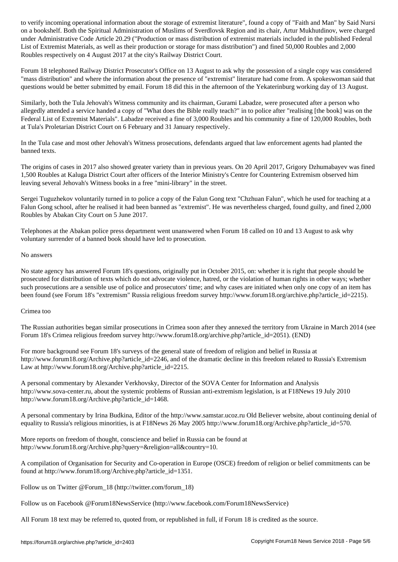on a bookshelf. Both the Spiritual Administration of Muslims of Sverdlovsk Region and its chair, Artur Mukhutdinov, were charged under Administrative Code Article 20.29 ("Production or mass distribution of extremist materials included in the published Federal List of Extremist Materials, as well as their production or storage for mass distribution") and fined 50,000 Roubles and 2,000 Roubles respectively on 4 August 2017 at the city's Railway District Court.

Forum 18 telephoned Railway District Prosecutor's Office on 13 August to ask why the possession of a single copy was considered "mass distribution" and where the information about the presence of "extremist" literature had come from. A spokeswoman said that questions would be better submitted by email. Forum 18 did this in the afternoon of the Yekaterinburg working day of 13 August.

Similarly, both the Tula Jehovah's Witness community and its chairman, Gurami Labadze, were prosecuted after a person who allegedly attended a service handed a copy of "What does the Bible really teach?" in to police after "realising [the book] was on the Federal List of Extremist Materials". Labadze received a fine of 3,000 Roubles and his community a fine of 120,000 Roubles, both at Tula's Proletarian District Court on 6 February and 31 January respectively.

In the Tula case and most other Jehovah's Witness prosecutions, defendants argued that law enforcement agents had planted the banned texts.

The origins of cases in 2017 also showed greater variety than in previous years. On 20 April 2017, Grigory Dzhumabayev was fined 1,500 Roubles at Kaluga District Court after officers of the Interior Ministry's Centre for Countering Extremism observed him leaving several Jehovah's Witness books in a free "mini-library" in the street.

Sergei Tuguzhekov voluntarily turned in to police a copy of the Falun Gong text "Chzhuan Falun", which he used for teaching at a Falun Gong school, after he realised it had been banned as "extremist". He was nevertheless charged, found guilty, and fined 2,000 Roubles by Abakan City Court on 5 June 2017.

Telephones at the Abakan police press department went unanswered when Forum 18 called on 10 and 13 August to ask why voluntary surrender of a banned book should have led to prosecution.

# No answers

No state agency has answered Forum 18's questions, originally put in October 2015, on: whether it is right that people should be prosecuted for distribution of texts which do not advocate violence, hatred, or the violation of human rights in other ways; whether such prosecutions are a sensible use of police and prosecutors' time; and why cases are initiated when only one copy of an item has been found (see Forum 18's "extremism" Russia religious freedom survey http://www.forum18.org/archive.php?article\_id=2215).

# Crimea too

The Russian authorities began similar prosecutions in Crimea soon after they annexed the territory from Ukraine in March 2014 (see Forum 18's Crimea religious freedom survey http://www.forum18.org/archive.php?article\_id=2051). (END)

For more background see Forum 18's surveys of the general state of freedom of religion and belief in Russia at http://www.forum18.org/Archive.php?article\_id=2246, and of the dramatic decline in this freedom related to Russia's Extremism Law at http://www.forum18.org/Archive.php?article\_id=2215.

A personal commentary by Alexander Verkhovsky, Director of the SOVA Center for Information and Analysis http://www.sova-center.ru, about the systemic problems of Russian anti-extremism legislation, is at F18News 19 July 2010 http://www.forum18.org/Archive.php?article\_id=1468.

A personal commentary by Irina Budkina, Editor of the http://www.samstar.ucoz.ru Old Believer website, about continuing denial of equality to Russia's religious minorities, is at F18News 26 May 2005 http://www.forum18.org/Archive.php?article\_id=570.

More reports on freedom of thought, conscience and belief in Russia can be found at http://www.forum18.org/Archive.php?query=&religion=all&country=10.

A compilation of Organisation for Security and Co-operation in Europe (OSCE) freedom of religion or belief commitments can be found at http://www.forum18.org/Archive.php?article\_id=1351.

Follow us on Twitter @Forum\_18 (http://twitter.com/forum\_18)

Follow us on Facebook @Forum18NewsService (http://www.facebook.com/Forum18NewsService)

All Forum 18 text may be referred to, quoted from, or republished in full, if Forum 18 is credited as the source.